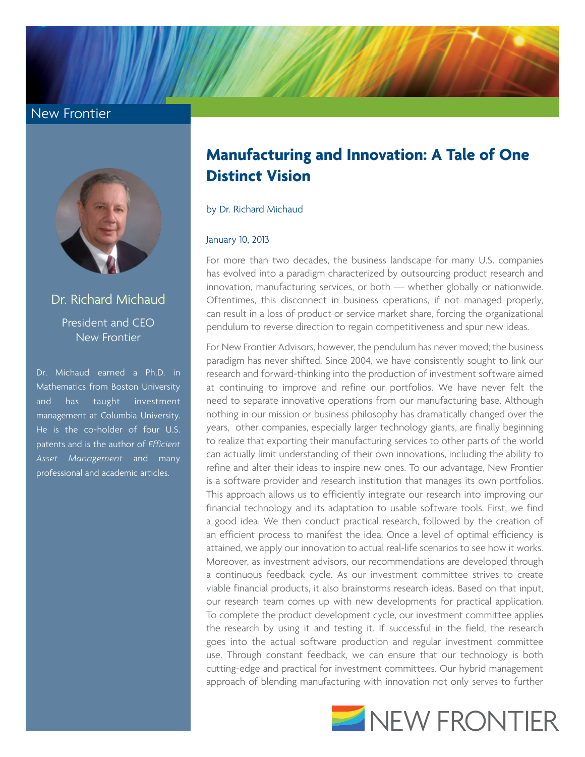## New Frontier



Dr. Richard Michaud President and CEO New Frontier

Dr. Michaud earned a Ph.D. in Mathematics from Boston University and has taught investment management at Columbia University. He is the co-holder of four U.S. patents and is the author of *Efficient Asset Management* and many professional and academic articles.

## **Manufacturing and Innovation: A Tale of One Distinct Vision**

by Dr. Richard Michaud

## January 10, 2013

For more than two decades, the business landscape for many U.S. companies has evolved into a paradigm characterized by outsourcing product research and innovation, manufacturing services, or both — whether globally or nationwide. Oftentimes, this disconnect in business operations, if not managed properly, can result in a loss of product or service market share, forcing the organizational pendulum to reverse direction to regain competitiveness and spur new ideas.

For New Frontier Advisors, however, the pendulum has never moved; the business paradigm has never shifted. Since 2004, we have consistently sought to link our research and forward-thinking into the production of investment software aimed at continuing to improve and refine our portfolios. We have never felt the need to separate innovative operations from our manufacturing base. Although nothing in our mission or business philosophy has dramatically changed over the years, other companies, especially larger technology giants, are finally beginning to realize that exporting their manufacturing services to other parts of the world can actually limit understanding of their own innovations, including the ability to refine and alter their ideas to inspire new ones. To our advantage, New Frontier is a software provider and research institution that manages its own portfolios. This approach allows us to efficiently integrate our research into improving our financial technology and its adaptation to usable software tools. First, we find a good idea. We then conduct practical research, followed by the creation of an efficient process to manifest the idea. Once a level of optimal efficiency is attained, we apply our innovation to actual real-life scenarios to see how it works. Moreover, as investment advisors, our recommendations are developed through a continuous feedback cycle. As our investment committee strives to create viable financial products, it also brainstorms research ideas. Based on that input, our research team comes up with new developments for practical application. To complete the product development cycle, our investment committee applies the research by using it and testing it. If successful in the field, the research goes into the actual software production and regular investment committee use. Through constant feedback, we can ensure that our technology is both cutting-edge and practical for investment committees. Our hybrid management approach of blending manufacturing with innovation not only serves to further